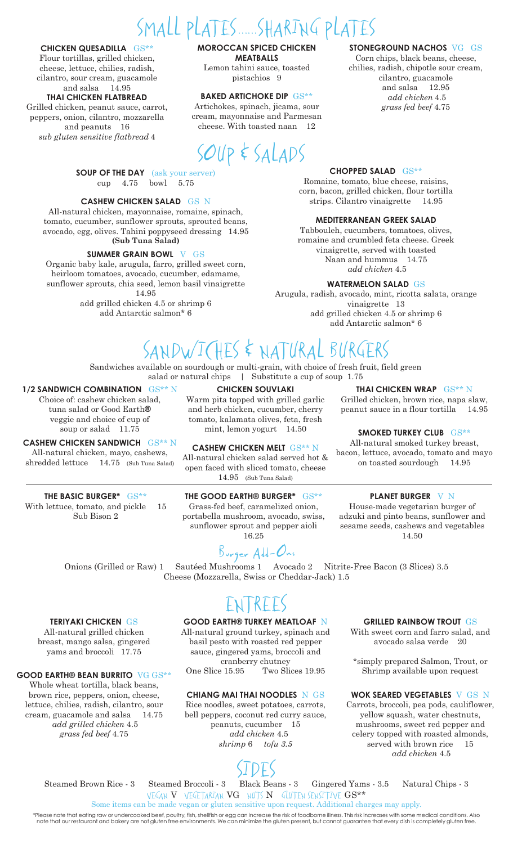# SMALL PLATES......SHARING PLATES

#### **CHICKEN QUESADILLA** GS\*\*

Flour tortillas, grilled chicken, cheese, lettuce, chilies, radish, cilantro, sour cream, guacamole and salsa 14.95

#### **THAI CHICKEN FLATBREAD**

Grilled chicken, peanut sauce, carrot, peppers, onion, cilantro, mozzarella and peanuts 16 *sub gluten sensitive flatbread* 4

> **SOUP OF THE DAY** (ask your server) cup 4.75 bowl 5.75

#### **CASHEW CHICKEN SALAD** GS N

All-natural chicken, mayonnaise, romaine, spinach, tomato, cucumber, sunflower sprouts, sprouted beans, avocado, egg, olives. Tahini poppyseed dressing 14.95 **(Sub Tuna Salad)**

#### **SUMMER GRAIN BOWL** V GS

Organic baby kale, arugula, farro, grilled sweet corn, heirloom tomatoes, avocado, cucumber, edamame, sunflower sprouts, chia seed, lemon basil vinaigrette 14.95 add grilled chicken 4.5 or shrimp 6

add Antarctic salmon\* 6

#### **MOROCCAN SPICED CHICKEN MEATBALLS** Lemon tahini sauce, toasted

pistachios 9

#### **BAKED ARTICHOKE DIP** GS\*\*

Artichokes, spinach, jicama, sour cream, mayonnaise and Parmesan cheese. With toasted naan 12



#### **STONEGROUND NACHOS** VG GS

Corn chips, black beans, cheese, chilies, radish, chipotle sour cream, cilantro, guacamole and salsa 12.95  *add chicken* 4.5 *grass fed beef* 4.75

#### **CHOPPED SALAD** GS\*\*

Romaine, tomato, blue cheese, raisins, corn, bacon, grilled chicken, flour tortilla strips. Cilantro vinaigrette 14.95

#### **MEDITERRANEAN GREEK SALAD**

Tabbouleh, cucumbers, tomatoes, olives, romaine and crumbled feta cheese. Greek vinaigrette, served with toasted Naan and hummus 14.75 *add chicken* 4.5

#### **WATERMELON SALAD** GS

Arugula, radish, avocado, mint, ricotta salata, orange vinaigrette 13 add grilled chicken 4.5 or shrimp 6 add Antarctic salmon\* 6

### SANDWICHES & NATURAL BURGERS

Sandwiches available on sourdough or multi-grain, with choice of fresh fruit, field green salad or natural chips | Substitute a cup of soup 1.75

#### **1/2 SANDWICH COMBINATION** GS\*\* N

Choice of: cashew chicken salad, tuna salad or Good Earth**®** veggie and choice of cup of soup or salad 11.75

#### **CASHEW CHICKEN SANDWICH** GS\*\* N

All-natural chicken, mayo, cashews, shredded lettuce 14.75 (Sub Tuna Salad)

#### **THE BASIC BURGER\*** GS\*\* With lettuce, tomato, and pickle 15

Sub Bison 2

**TERIYAKI CHICKEN** GS All-natural grilled chicken breast, mango salsa, gingered yams and broccoli 17.75

**GOOD EARTH® BEAN BURRITO** VG GS\*\* Whole wheat tortilla, black beans, brown rice, peppers, onion, cheese, lettuce, chilies, radish, cilantro, sour cream, guacamole and salsa 14.75  *add grilled chicken* 4.5 *grass fed beef* 4.75

#### **CHICKEN SOUVLAKI**

Warm pita topped with grilled garlic and herb chicken, cucumber, cherry tomato, kalamata olives, feta, fresh mint, lemon yogurt 14.50

**CASHEW CHICKEN MELT** GS\*\* N All-natural chicken salad served hot & open faced with sliced tomato, cheese 14.95 (Sub Tuna Salad)

#### **THE GOOD EARTH® BURGER\*** GS\*\*

Grass-fed beef, caramelized onion, portabella mushroom, avocado, swiss, sunflower sprout and pepper aioli 16.25

Burger Add-Ons

Onions (Grilled or Raw) 1 Sautéed Mushrooms 1 Avocado 2 Nitrite-Free Bacon (3 Slices) 3.5 Cheese (Mozzarella, Swiss or Cheddar-Jack) 1.5

### ENTREES

#### **GOOD EARTH® TURKEY MEATLOAF** N

All-natural ground turkey, spinach and basil pesto with roasted red pepper sauce, gingered yams, broccoli and cranberry chutney One Slice 15.95 Two Slices 19.95

#### **CHIANG MAI THAI NOODLES** N GS

Rice noodles, sweet potatoes, carrots, bell peppers, coconut red curry sauce, peanuts, cucumber 15 *add chicken* 4.5 *shrimp* 6 *tofu 3.5* 

#### **GRILLED RAINBOW TROUT** GS

With sweet corn and farro salad, and avocado salsa verde 20

\*simply prepared Salmon, Trout, or Shrimp available upon request

#### **WOK SEARED VEGETABLES** V GS N

Carrots, broccoli, pea pods, cauliflower, yellow squash, water chestnuts, mushrooms, sweet red pepper and celery topped with roasted almonds, served with brown rice 15 *add chicken* 4.5

Steamed Brown Rice - 3 Steamed Broccoli - 3 Black Beans - 3 Gingered Yams - 3.5 Natural Chips - 3

Black Beans - 3

VEGAN V VEGETARIAN VG NUTS N GLUTEN SENSITIVE GS\*\* Some items can be made vegan or gluten sensitive upon request. Additional charges may apply.

\*Please note that eating raw or undercooked beef, poultry, fish, shellfish or egg can increase the risk of foodborne illness. This risk increases with some medical conditions. Also note that our restaurant and bakery are not gluten free environments. We can minimize the gluten present, but cannot guarantee that every dish is completely gluten free.

**THAI CHICKEN WRAP** GS\*\* N

Grilled chicken, brown rice, napa slaw, peanut sauce in a flour tortilla 14.95

#### **SMOKED TURKEY CLUB** GS\*\*

All-natural smoked turkey breast, bacon, lettuce, avocado, tomato and mayo on toasted sourdough 14.95

#### **PLANET BURGER** V N

House-made vegetarian burger of adzuki and pinto beans, sunflower and sesame seeds, cashews and vegetables 14.50